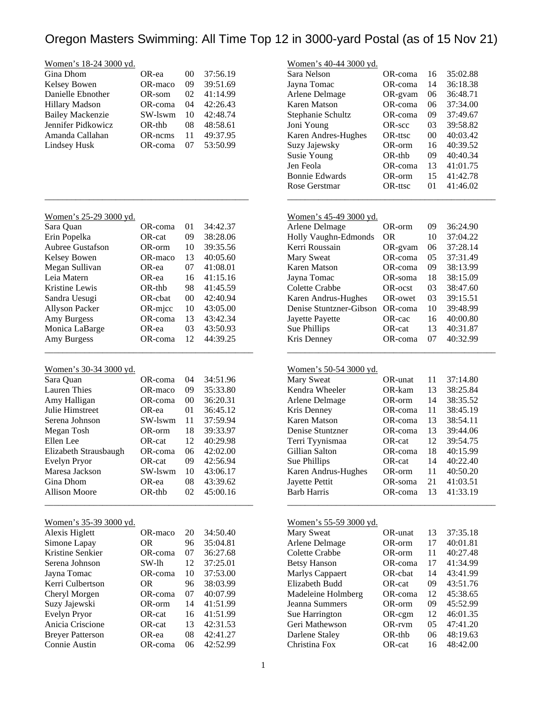### Women's 18-24 3000 yd.

| OR-ea    | $($ $)($ | 37:56.19 |
|----------|----------|----------|
| OR-maco  | 09       | 39:51.69 |
| OR-som   | 02.      | 41:14.99 |
| OR-coma  | 04       | 42:26.43 |
| SW-lswm  | 10       | 42:48.74 |
| $OR-thb$ | 08       | 48:58.61 |
| OR-ncms  | 11       | 49:37.95 |
| OR-coma  | 07       | 53:50.99 |
|          |          |          |

|  | Women's 25-29 3000 vd. |  |  |
|--|------------------------|--|--|
|  |                        |  |  |

| Sara Quan               | OR-coma    | 0 <sub>1</sub> | 34:42.37 |
|-------------------------|------------|----------------|----------|
| Erin Popelka            | OR-cat     | 09             | 38:28.06 |
| <b>Aubree Gustafson</b> | OR-orm     | 10             | 39:35.56 |
| Kelsey Bowen            | OR-maco    | 13             | 40:05.60 |
| Megan Sullivan          | OR-ea      | 07             | 41:08.01 |
| Leia Matern             | OR-ea      | 16             | 41:15.16 |
| Kristine Lewis          | OR-thb     | 98             | 41:45.59 |
| Sandra Uesugi           | OR-cbat    | 00             | 42:40.94 |
| <b>Allyson Packer</b>   | $OR$ -mjcc | 10             | 43:05.00 |
| Amy Burgess             | OR-coma    | 13             | 43:42.34 |
| Monica LaBarge          | OR-ea      | 03             | 43:50.93 |
| Amy Burgess             | OR-coma    | 12             | 44:39.25 |
|                         |            |                |          |

\_\_\_\_\_\_\_\_\_\_\_\_\_\_\_\_\_\_\_\_\_\_\_\_\_\_\_\_\_\_\_\_\_\_\_\_\_\_\_\_\_\_\_\_\_\_\_

\_\_\_\_\_\_\_\_\_\_\_\_\_\_\_\_\_\_\_\_\_\_\_\_\_\_\_\_\_\_\_\_\_\_\_\_\_\_\_\_\_\_\_\_\_\_

### Women's 30-34 3000 yd.

| Sara Quan             | OR-coma  | 04 | 34:51.96 |
|-----------------------|----------|----|----------|
| <b>Lauren</b> Thies   | OR-maco  | 09 | 35:33.80 |
| Amy Halligan          | OR-coma  | 00 | 36:20.31 |
| Julie Himstreet       | OR-ea    | 01 | 36:45.12 |
| Serena Johnson        | SW-lswm  | 11 | 37:59.94 |
| Megan Tosh            | OR-orm   | 18 | 39:33.97 |
| Ellen Lee             | OR-cat   | 12 | 40:29.98 |
| Elizabeth Strausbaugh | OR-coma  | 06 | 42:02.00 |
| Evelyn Pryor          | OR-cat   | 09 | 42:56.94 |
| Maresa Jackson        | SW-lswm  | 10 | 43:06.17 |
| Gina Dhom             | OR-ea    | 08 | 43:39.62 |
| <b>Allison Moore</b>  | $OR-thb$ | 02 | 45:00.16 |
|                       |          |    |          |

#### Women's 35-39 3000 yd.

| Alexis Higlett          | OR-maco   | 20 | 34:50.40 |  |
|-------------------------|-----------|----|----------|--|
| Simone Lapay            | 0R        | 96 | 35:04.81 |  |
| Kristine Senkier        | OR-coma   | 07 | 36:27.68 |  |
| Serena Johnson          | SW-lh     | 12 | 37:25.01 |  |
| Jayna Tomac             | OR-coma   | 10 | 37:53.00 |  |
| Kerri Culbertson        | <b>OR</b> | 96 | 38:03.99 |  |
| Cheryl Morgen           | OR-coma   | 07 | 40:07.99 |  |
| Suzy Jajewski           | OR-orm    | 14 | 41:51.99 |  |
| Evelyn Pryor            | OR-cat    | 16 | 41:51.99 |  |
| Anicia Criscione        | OR-cat    | 13 | 42:31.53 |  |
| <b>Breyer Patterson</b> | OR-ea     | 08 | 42:41.27 |  |
| Connie Austin           | OR-coma   | 06 | 42:52.99 |  |

### Women's 40-44 3000 yd.

| Sara Nelson           | OR-coma  | 16 | 35:02.88 |
|-----------------------|----------|----|----------|
| Jayna Tomac           | OR-coma  | 14 | 36:18.38 |
| Arlene Delmage        | OR-gvam  | 06 | 36:48.71 |
| Karen Matson          | OR-coma  | 06 | 37:34.00 |
| Stephanie Schultz     | OR-coma  | 09 | 37:49.67 |
| Joni Young            | OR-scc   | 03 | 39:58.82 |
| Karen Andres-Hughes   | OR-ttsc  | 00 | 40:03.42 |
| Suzy Jajewsky         | OR-orm   | 16 | 40:39.52 |
| Susie Young           | $OR-thb$ | 09 | 40:40.34 |
| Jen Feola             | OR-coma  | 13 | 41:01.75 |
| <b>Bonnie Edwards</b> | OR-orm   | 15 | 41:42.78 |
| Rose Gerstmar         | OR-ttsc  | 01 | 41:46.02 |
|                       |          |    |          |

### Women's 45-49 3000 yd.

| Arlene Delmage          | OR-orm  | 09 | 36:24.90 |
|-------------------------|---------|----|----------|
| Holly Vaughn-Edmonds    | OR      | 10 | 37:04.22 |
| Kerri Roussain          | OR-gvam | 06 | 37:28.14 |
| Mary Sweat              | OR-coma | 05 | 37:31.49 |
| <b>Karen Matson</b>     | OR-coma | 09 | 38:13.99 |
| Jayna Tomac             | OR-soma | 18 | 38:15.09 |
| Colette Crabbe          | OR-ocst | 03 | 38:47.60 |
| Karen Andrus-Hughes     | OR-owet | 03 | 39:15.51 |
| Denise Stuntzner-Gibson | OR-coma | 10 | 39:48.99 |
| Jayette Payette         | OR-cac  | 16 | 40:00.80 |
| Sue Phillips            | OR-cat  | 13 | 40:31.87 |
| Kris Denney             | OR-coma | 07 | 40:32.99 |

\_\_\_\_\_\_\_\_\_\_\_\_\_\_\_\_\_\_\_\_\_\_\_\_\_\_\_\_\_\_\_\_\_\_\_\_\_\_\_\_\_\_\_\_\_\_\_

### Women's 50-54 3000 yd.

| Mary Sweat          | OR-unat | 11 | 37:14.80 |
|---------------------|---------|----|----------|
| Kendra Wheeler      | OR-kam  | 13 | 38:25.84 |
| Arlene Delmage      | OR-orm  | 14 | 38:35.52 |
| Kris Denney         | OR-coma | 11 | 38:45.19 |
| Karen Matson        | OR-coma | 13 | 38:54.11 |
| Denise Stuntzner    | OR-coma | 13 | 39:44.06 |
| Terri Tyynismaa     | OR-cat  | 12 | 39:54.75 |
| Gillian Salton      | OR-coma | 18 | 40:15.99 |
| Sue Phillips        | OR-cat  | 14 | 40:22.40 |
| Karen Andrus-Hughes | OR-orm  | 11 | 40:50.20 |
| Jayette Pettit      | OR-soma | 21 | 41:03.51 |
| <b>Barb Harris</b>  | OR-coma | 13 | 41:33.19 |
|                     |         |    |          |

#### Women's 55-59 3000 yd.

| OR-unat   | 13 | 37:35.18 |
|-----------|----|----------|
| OR-orm    | 17 | 40:01.81 |
| OR-orm    | 11 | 40:27.48 |
| OR-coma   | 17 | 41:34.99 |
| OR-cbat   | 14 | 43:41.99 |
| OR-cat    | 09 | 43:51.76 |
| OR-coma   | 12 | 45:38.65 |
| OR-orm    | 09 | 45:52.99 |
| $OR-cgm$  | 12 | 46:01.35 |
| OR-rvm    | 05 | 47:41.20 |
| $OR$ -thb | 06 | 48:19.63 |
| OR-cat    | 16 | 48:42.00 |
|           |    |          |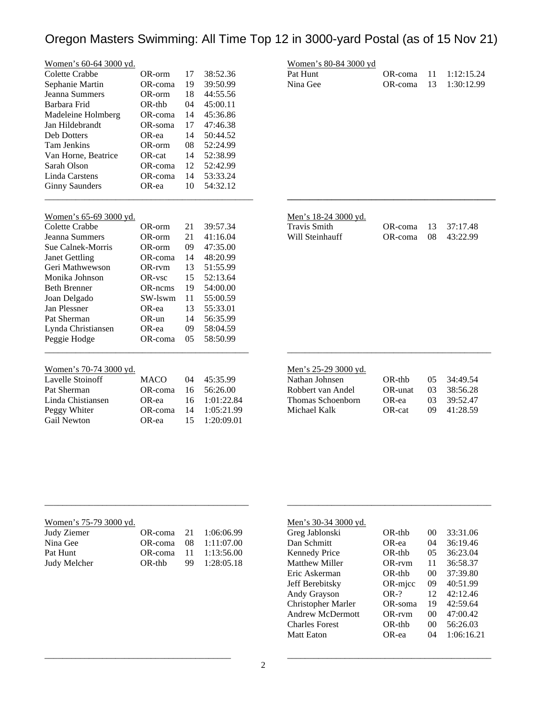| <b>Colette Crabbe</b><br>17<br>38:52.36<br>OR-orm<br>39:50.99<br>Sephanie Martin<br>OR-coma<br>19<br>Jeanna Summers<br>44:55.56<br>OR-orm<br>18<br>Barbara Frid<br>$OR-thb$<br>04<br>45:00.11<br>Madeleine Holmberg<br>OR-coma<br>14<br>45:36.86<br>17<br>47:46.38<br>Jan Hildebrandt<br>OR-soma<br><b>Deb Dotters</b><br>OR-ea<br>14<br>50:44.52<br>52:24.99<br><b>Tam Jenkins</b><br>OR-orm<br>08<br>Van Horne, Beatrice<br>52:38.99<br>OR-cat<br>14<br>Sarah Olson<br>OR-coma<br>12<br>52:42.99<br><b>Linda Carstens</b><br>OR-coma<br>14<br>53:33.24<br>OR-ea<br>54:32.12<br><b>Ginny Saunders</b><br>10<br>Women's 65-69 3000 yd.<br>Colette Crabbe<br>21<br>39:57.34<br>OR-orm<br>Jeanna Summers<br>21<br>41:16.04<br>OR-orm<br>Sue Calnek-Morris<br>09<br>47:35.00<br>OR-orm<br>48:20.99<br><b>Janet Gettling</b><br>OR-coma<br>14<br>Geri Mathwewson<br>13<br>51:55.99<br>OR-rvm<br>Monika Johnson<br>15<br>52:13.64<br>OR-vsc<br><b>Beth Brenner</b><br>54:00.00<br>OR-ncms<br>19<br>Joan Delgado<br>SW-lswm<br>55:00.59<br>11<br>Jan Plessner<br>OR-ea<br>13<br>55:33.01<br>Pat Sherman<br>$OR$ -un<br>14<br>56:35.99<br>Lynda Christiansen<br>58:04.59<br>OR-ea<br>09<br>Peggie Hodge<br>OR-coma<br>05<br>58:50.99<br>Women's 70-74 3000 yd.<br><b>Lavelle Stoinoff</b><br><b>MACO</b><br>04<br>45:35.99<br>Pat Sherman<br>56:26.00<br>OR-coma<br>16<br>Linda Chistiansen<br>OR-ea<br>1:01:22.84<br>16 | Women's 60-64 3000 yd. |  |  |
|-------------------------------------------------------------------------------------------------------------------------------------------------------------------------------------------------------------------------------------------------------------------------------------------------------------------------------------------------------------------------------------------------------------------------------------------------------------------------------------------------------------------------------------------------------------------------------------------------------------------------------------------------------------------------------------------------------------------------------------------------------------------------------------------------------------------------------------------------------------------------------------------------------------------------------------------------------------------------------------------------------------------------------------------------------------------------------------------------------------------------------------------------------------------------------------------------------------------------------------------------------------------------------------------------------------------------------------------------------------------------------------------------------------------|------------------------|--|--|
|                                                                                                                                                                                                                                                                                                                                                                                                                                                                                                                                                                                                                                                                                                                                                                                                                                                                                                                                                                                                                                                                                                                                                                                                                                                                                                                                                                                                                   |                        |  |  |
|                                                                                                                                                                                                                                                                                                                                                                                                                                                                                                                                                                                                                                                                                                                                                                                                                                                                                                                                                                                                                                                                                                                                                                                                                                                                                                                                                                                                                   |                        |  |  |
|                                                                                                                                                                                                                                                                                                                                                                                                                                                                                                                                                                                                                                                                                                                                                                                                                                                                                                                                                                                                                                                                                                                                                                                                                                                                                                                                                                                                                   |                        |  |  |
|                                                                                                                                                                                                                                                                                                                                                                                                                                                                                                                                                                                                                                                                                                                                                                                                                                                                                                                                                                                                                                                                                                                                                                                                                                                                                                                                                                                                                   |                        |  |  |
|                                                                                                                                                                                                                                                                                                                                                                                                                                                                                                                                                                                                                                                                                                                                                                                                                                                                                                                                                                                                                                                                                                                                                                                                                                                                                                                                                                                                                   |                        |  |  |
|                                                                                                                                                                                                                                                                                                                                                                                                                                                                                                                                                                                                                                                                                                                                                                                                                                                                                                                                                                                                                                                                                                                                                                                                                                                                                                                                                                                                                   |                        |  |  |
|                                                                                                                                                                                                                                                                                                                                                                                                                                                                                                                                                                                                                                                                                                                                                                                                                                                                                                                                                                                                                                                                                                                                                                                                                                                                                                                                                                                                                   |                        |  |  |
|                                                                                                                                                                                                                                                                                                                                                                                                                                                                                                                                                                                                                                                                                                                                                                                                                                                                                                                                                                                                                                                                                                                                                                                                                                                                                                                                                                                                                   |                        |  |  |
|                                                                                                                                                                                                                                                                                                                                                                                                                                                                                                                                                                                                                                                                                                                                                                                                                                                                                                                                                                                                                                                                                                                                                                                                                                                                                                                                                                                                                   |                        |  |  |
|                                                                                                                                                                                                                                                                                                                                                                                                                                                                                                                                                                                                                                                                                                                                                                                                                                                                                                                                                                                                                                                                                                                                                                                                                                                                                                                                                                                                                   |                        |  |  |
|                                                                                                                                                                                                                                                                                                                                                                                                                                                                                                                                                                                                                                                                                                                                                                                                                                                                                                                                                                                                                                                                                                                                                                                                                                                                                                                                                                                                                   |                        |  |  |
|                                                                                                                                                                                                                                                                                                                                                                                                                                                                                                                                                                                                                                                                                                                                                                                                                                                                                                                                                                                                                                                                                                                                                                                                                                                                                                                                                                                                                   |                        |  |  |
|                                                                                                                                                                                                                                                                                                                                                                                                                                                                                                                                                                                                                                                                                                                                                                                                                                                                                                                                                                                                                                                                                                                                                                                                                                                                                                                                                                                                                   |                        |  |  |
|                                                                                                                                                                                                                                                                                                                                                                                                                                                                                                                                                                                                                                                                                                                                                                                                                                                                                                                                                                                                                                                                                                                                                                                                                                                                                                                                                                                                                   |                        |  |  |
|                                                                                                                                                                                                                                                                                                                                                                                                                                                                                                                                                                                                                                                                                                                                                                                                                                                                                                                                                                                                                                                                                                                                                                                                                                                                                                                                                                                                                   |                        |  |  |
|                                                                                                                                                                                                                                                                                                                                                                                                                                                                                                                                                                                                                                                                                                                                                                                                                                                                                                                                                                                                                                                                                                                                                                                                                                                                                                                                                                                                                   |                        |  |  |
|                                                                                                                                                                                                                                                                                                                                                                                                                                                                                                                                                                                                                                                                                                                                                                                                                                                                                                                                                                                                                                                                                                                                                                                                                                                                                                                                                                                                                   |                        |  |  |
|                                                                                                                                                                                                                                                                                                                                                                                                                                                                                                                                                                                                                                                                                                                                                                                                                                                                                                                                                                                                                                                                                                                                                                                                                                                                                                                                                                                                                   |                        |  |  |
|                                                                                                                                                                                                                                                                                                                                                                                                                                                                                                                                                                                                                                                                                                                                                                                                                                                                                                                                                                                                                                                                                                                                                                                                                                                                                                                                                                                                                   |                        |  |  |
|                                                                                                                                                                                                                                                                                                                                                                                                                                                                                                                                                                                                                                                                                                                                                                                                                                                                                                                                                                                                                                                                                                                                                                                                                                                                                                                                                                                                                   |                        |  |  |
|                                                                                                                                                                                                                                                                                                                                                                                                                                                                                                                                                                                                                                                                                                                                                                                                                                                                                                                                                                                                                                                                                                                                                                                                                                                                                                                                                                                                                   |                        |  |  |
|                                                                                                                                                                                                                                                                                                                                                                                                                                                                                                                                                                                                                                                                                                                                                                                                                                                                                                                                                                                                                                                                                                                                                                                                                                                                                                                                                                                                                   |                        |  |  |
|                                                                                                                                                                                                                                                                                                                                                                                                                                                                                                                                                                                                                                                                                                                                                                                                                                                                                                                                                                                                                                                                                                                                                                                                                                                                                                                                                                                                                   |                        |  |  |
|                                                                                                                                                                                                                                                                                                                                                                                                                                                                                                                                                                                                                                                                                                                                                                                                                                                                                                                                                                                                                                                                                                                                                                                                                                                                                                                                                                                                                   |                        |  |  |
|                                                                                                                                                                                                                                                                                                                                                                                                                                                                                                                                                                                                                                                                                                                                                                                                                                                                                                                                                                                                                                                                                                                                                                                                                                                                                                                                                                                                                   |                        |  |  |
|                                                                                                                                                                                                                                                                                                                                                                                                                                                                                                                                                                                                                                                                                                                                                                                                                                                                                                                                                                                                                                                                                                                                                                                                                                                                                                                                                                                                                   |                        |  |  |
|                                                                                                                                                                                                                                                                                                                                                                                                                                                                                                                                                                                                                                                                                                                                                                                                                                                                                                                                                                                                                                                                                                                                                                                                                                                                                                                                                                                                                   |                        |  |  |
|                                                                                                                                                                                                                                                                                                                                                                                                                                                                                                                                                                                                                                                                                                                                                                                                                                                                                                                                                                                                                                                                                                                                                                                                                                                                                                                                                                                                                   |                        |  |  |
|                                                                                                                                                                                                                                                                                                                                                                                                                                                                                                                                                                                                                                                                                                                                                                                                                                                                                                                                                                                                                                                                                                                                                                                                                                                                                                                                                                                                                   |                        |  |  |
|                                                                                                                                                                                                                                                                                                                                                                                                                                                                                                                                                                                                                                                                                                                                                                                                                                                                                                                                                                                                                                                                                                                                                                                                                                                                                                                                                                                                                   |                        |  |  |
| Peggy Whiter<br>OR-coma<br>14<br>1:05:21.99                                                                                                                                                                                                                                                                                                                                                                                                                                                                                                                                                                                                                                                                                                                                                                                                                                                                                                                                                                                                                                                                                                                                                                                                                                                                                                                                                                       |                        |  |  |
| Gail Newton<br>OR-ea<br>1:20:09.01<br>15                                                                                                                                                                                                                                                                                                                                                                                                                                                                                                                                                                                                                                                                                                                                                                                                                                                                                                                                                                                                                                                                                                                                                                                                                                                                                                                                                                          |                        |  |  |

| Women's 80-84 3000 yd |  |                               |
|-----------------------|--|-------------------------------|
| Pat Hunt              |  | OR-coma $11 \quad 1:12:15.24$ |
| Nina Gee              |  | OR-coma 13 1:30:12.99         |

**\_\_\_\_\_\_\_\_\_\_\_\_\_\_\_\_\_\_\_\_\_\_\_\_\_\_\_\_\_\_\_\_\_\_\_\_\_\_\_\_\_\_\_\_\_\_\_**

## Men's 18-24 3000 yd.

| Fravis Smith    |  |
|-----------------|--|
| Will Steinhauff |  |

| $1.1$ and $1.0 \pm 1.0000$ , $\alpha$ . |                     |  |
|-----------------------------------------|---------------------|--|
| Travis Smith                            | OR-coma 13 37:17.48 |  |
| Will Steinhauff                         | OR-coma 08 43:22.99 |  |

|  | Men's 25-29 3000 vd. |  |
|--|----------------------|--|
|  |                      |  |

| Nathan Johnsen    | $OR-thb$  | (15)            | 34:49.54 |
|-------------------|-----------|-----------------|----------|
| Robbert van Andel | OR-unat   | (1)3            | 38:56.28 |
| Thomas Schoenborn | OR-ea     | 03 <sup>7</sup> | 39:52.47 |
| Michael Kalk      | $OR$ -cat | 09.             | 41:28.59 |
|                   |           |                 |          |

\_\_\_\_\_\_\_\_\_\_\_\_\_\_\_\_\_\_\_\_\_\_\_\_\_\_\_\_\_\_\_\_\_\_\_\_\_\_\_\_\_\_\_\_\_\_

| Women's 75-79 3000 yd. |        |                       |
|------------------------|--------|-----------------------|
| Judy Ziemer            |        | OR-coma 21 1:06:06.99 |
| Nina Gee               |        | OR-coma 08 1:11:07.00 |
| Pat Hunt               |        | OR-coma 11 1:13:56.00 |
| Judy Melcher           | OR-thb | 99 1:28:05.18         |
|                        |        |                       |

\_\_\_\_\_\_\_\_\_\_\_\_\_\_\_\_\_\_\_\_\_\_\_\_\_\_\_\_\_\_\_\_\_\_\_\_\_\_\_\_\_\_

\_\_\_\_\_\_\_\_\_\_\_\_\_\_\_\_\_\_\_\_\_\_\_\_\_\_\_\_\_\_\_\_\_\_\_\_\_\_\_\_\_\_\_\_\_\_

### Men's 30-34 3000 yd.

| Greg Jablonski          | $OR-thb$  | 00 | 33:31.06   |
|-------------------------|-----------|----|------------|
| Dan Schmitt             | OR-ea     | 04 | 36:19.46   |
| Kennedy Price           | $OR$ -thb | 05 | 36:23.04   |
| <b>Matthew Miller</b>   | $OR$ -rvm | 11 | 36:58.37   |
| Eric Askerman           | $OR-thb$  | 00 | 37:39.80   |
| Jeff Berebitsky         | OR-micc   | 09 | 40:51.99   |
| Andy Grayson            | $OR-?$    | 12 | 42:12.46   |
| Christopher Marler      | OR-soma   | 19 | 42:59.64   |
| <b>Andrew McDermott</b> | $OR$ -rvm | 00 | 47:00.42   |
| <b>Charles Forest</b>   | $OR$ -thb | 00 | 56:26.03   |
| <b>Matt Eaton</b>       | OR-ea     | 04 | 1:06:16.21 |

\_\_\_\_\_\_\_\_\_\_\_\_\_\_\_\_\_\_\_\_\_\_\_\_\_\_\_\_\_\_\_\_\_\_\_\_\_\_\_\_\_\_\_\_\_\_

\_\_\_\_\_\_\_\_\_\_\_\_\_\_\_\_\_\_\_\_\_\_\_\_\_\_\_\_\_\_\_\_\_\_\_\_\_\_\_\_\_\_\_\_\_\_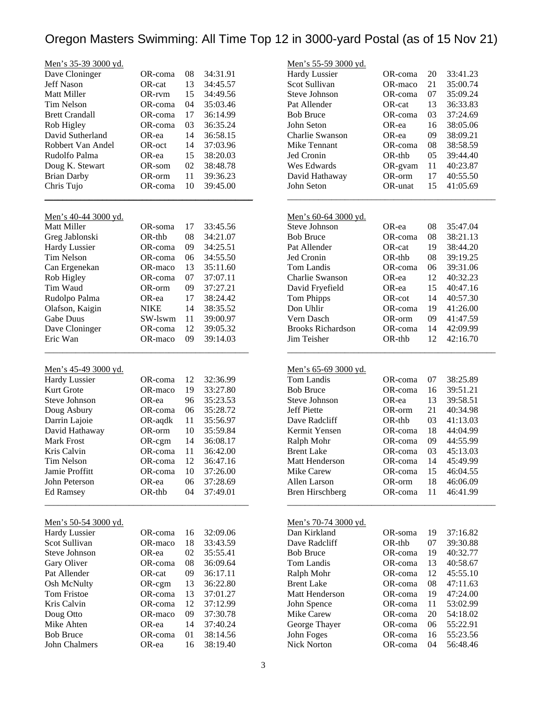| Men's 35-39 3000 yd.        |             |    |          |
|-----------------------------|-------------|----|----------|
| Dave Cloninger              | OR-coma     | 08 | 34:31.91 |
| <b>Jeff Nason</b>           | OR-cat      | 13 | 34:45.57 |
| <b>Matt Miller</b>          | OR-rvm      | 15 | 34:49.56 |
| <b>Tim Nelson</b>           | OR-coma     | 04 | 35:03.46 |
| <b>Brett Crandall</b>       | OR-coma     | 17 | 36:14.99 |
| Rob Higley                  | OR-coma     | 03 | 36:35.24 |
| David Sutherland            | OR-ea       | 14 | 36:58.15 |
| Robbert Van Andel           | OR-oct      | 14 | 37:03.96 |
| Rudolfo Palma               | OR-ea       | 15 | 38:20.03 |
| Doug K. Stewart             | OR-som      | 02 | 38:48.78 |
| <b>Brian Darby</b>          | OR-orm      | 11 | 39:36.23 |
| Chris Tujo                  | OR-coma     | 10 | 39:45.00 |
|                             |             |    |          |
|                             |             |    |          |
| Men's 40-44 3000 yd.        |             |    |          |
| Matt Miller                 | OR-soma     | 17 | 33:45.56 |
| Greg Jablonski              | OR-thb      | 08 | 34:21.07 |
| <b>Hardy Lussier</b>        | OR-coma     | 09 | 34:25.51 |
| <b>Tim Nelson</b>           | OR-coma     | 06 | 34:55.50 |
| Can Ergenekan               | OR-maco     | 13 | 35:11.60 |
| Rob Higley                  | OR-coma     | 07 | 37:07.11 |
| Tim Waud                    | OR-orm      | 09 | 37:27.21 |
| Rudolpo Palma               | OR-ea       | 17 | 38:24.42 |
| Olafson, Kaigin             | <b>NIKE</b> | 14 | 38:35.52 |
| Gabe Duus                   | SW-lswm     | 11 | 39:00.97 |
| Dave Cloninger              | OR-coma     | 12 | 39:05.32 |
| Eric Wan                    | OR-maco     | 09 | 39:14.03 |
|                             |             |    |          |
| <u>Men's 45-49 3000 yd.</u> |             |    |          |
| <b>Hardy Lussier</b>        | OR-coma     | 12 | 32:36.99 |
| Kurt Grote                  |             |    |          |
|                             | OR-maco     | 19 | 33:27.80 |
| <b>Steve Johnson</b>        | OR-ea       | 96 | 35:23.53 |
| Doug Asbury                 | OR-coma     | 06 | 35:28.72 |
| Darrin Lajoie               | OR-aqdk     | 11 | 35:56.97 |
| David Hathaway              | OR-orm      | 10 | 35:59.84 |
| <b>Mark Frost</b>           | OR-cgm      | 14 | 36:08.17 |
| Kris Calvin                 | OR-coma     | 11 | 36:42.00 |
| <b>Tim Nelson</b>           | OR-coma     | 12 | 36:47.16 |
| Jamie Proffitt              | OR-coma     | 10 | 37:26.00 |
| John Peterson               | OR-ea       | 06 | 37:28.69 |
| Ed Ramsey                   | OR-thb      | 04 | 37:49.01 |
|                             |             |    |          |
| Men's 50-54 3000 yd.        |             |    |          |
| <b>Hardy Lussier</b>        | OR-coma     | 16 | 32:09.06 |
| Scot Sullivan               | OR-maco     | 18 | 33:43.59 |
| <b>Steve Johnson</b>        | OR-ea       | 02 | 35:55.41 |
| Gary Oliver                 | OR-coma     | 08 | 36:09.64 |
| Pat Allender                | OR-cat      | 09 | 36:17.11 |
| Osh McNulty                 | OR-cgm      | 13 | 36:22.80 |
| Tom Fristoe                 | OR-coma     | 13 | 37:01.27 |
| Kris Calvin                 | OR-coma     | 12 |          |
|                             |             |    | 37:12.99 |
| Doug Otto                   | OR-maco     | 09 | 37:30.78 |
| Mike Ahten                  | OR-ea       | 14 | 37:40.24 |
| <b>Bob Bruce</b>            | OR-coma     | 01 | 38:14.56 |
| John Chalmers               | OR-ea       | 16 | 38:19.40 |

| <u>Men's 55-59 3000 yd.</u>                       |                    |                 |                      |  |
|---------------------------------------------------|--------------------|-----------------|----------------------|--|
| <b>Hardy Lussier</b>                              | OR-coma            | 20              | 33:41.23             |  |
| <b>Scot Sullivan</b>                              | OR-maco            | 21              | 35:00.74             |  |
| <b>Steve Johnson</b>                              | OR-coma            | 07              | 35:09.24             |  |
| Pat Allender                                      | OR-cat             | 13              | 36:33.83             |  |
| <b>Bob Bruce</b>                                  | OR-coma            | 03              | 37:24.69             |  |
| John Seton                                        | OR-ea              | 16              | 38:05.06             |  |
| Charlie Swanson                                   | OR-ea              | 09              | 38:09.21             |  |
| Mike Tennant                                      | OR-coma            | 08              | 38:58.59             |  |
| <b>Jed Cronin</b>                                 | OR-thb             | 05 <sub>o</sub> | 39:44.40             |  |
| Wes Edwards                                       | OR-gvam            | 11 -            | 40:23.87             |  |
| David Hathaway                                    | OR-orm             | 17              | 40:55.50             |  |
| John Seton                                        | OR-unat            | 15              | 41:05.69             |  |
|                                                   |                    |                 |                      |  |
| <u>Men's 60-64 3000 yd.</u>                       |                    |                 |                      |  |
| Steve Johnson                                     | OR-ea              | 08              | 35:47.04             |  |
| <b>Bob Bruce</b>                                  | OR-coma            | 08              | 38:21.13             |  |
| Pat Allender                                      | OR-cat             | 19              | 38:44.20             |  |
| Jed Cronin                                        | OR-thb             | 08              | 39:19.25             |  |
| Tom Landis                                        | OR-coma            | 06              | 39:31.06             |  |
| Charlie Swanson                                   | OR-ea              | 12              | 40:32.23             |  |
| David Fryefield                                   | OR-ea              | 15              | 40:47.16             |  |
| <b>Tom Phipps</b>                                 | OR-cot             | 14              | 40:57.30             |  |
| Don Uhlir                                         | OR-coma            | 19              | 41:26.00             |  |
| Vern Dasch                                        | OR-orm             | 09              | 41:47.59             |  |
| <b>Brooks Richardson</b>                          | OR-coma            | 14              | 42:09.99             |  |
| Jim Teisher                                       | $OR-thb$           | 12              | 42:16.70             |  |
| Men's 65-69 3000 yd.                              |                    |                 |                      |  |
| <b>Tom Landis</b>                                 | OR-coma            | 07              | 38:25.89             |  |
| <b>Bob Bruce</b>                                  | OR-coma            | 16              | 39:51.21             |  |
| Steve Johnson                                     | OR-ea              | 13              | 39:58.51             |  |
|                                                   |                    | 21              | 40:34.98             |  |
|                                                   |                    |                 |                      |  |
| Jeff Piette                                       | OR-orm             |                 |                      |  |
| Dave Radcliff                                     | OR-thb             | 03              | 41:13.03             |  |
| Kermit Yensen                                     | OR-coma            | 18              | 44:04.99             |  |
| Ralph Mohr                                        | OR-coma            | 09              | 44:55.99             |  |
| <b>Brent Lake</b>                                 | OR-coma            | 03              | 45:13.03             |  |
| Matt Henderson                                    | OR-coma            | 14              | 45:49.99             |  |
| <b>Mike Carew</b>                                 | OR-coma            | 15              | 46:04.55             |  |
| Allen Larson                                      | OR-orm             | 18              | 46:06.09             |  |
| <b>Bren Hirschberg</b>                            | OR-coma            | 11              | 46:41.99             |  |
| <u>Men's 70-74 3000 yd.</u>                       |                    |                 |                      |  |
| Dan Kirkland                                      | OR-soma            | 19              | 37:16.82             |  |
| Dave Radcliff                                     | OR-thb             | 07              | 39:30.88             |  |
| <b>Bob Bruce</b>                                  |                    | 19              | 40:32.77             |  |
| Tom Landis                                        | OR-coma<br>OR-coma | 13              |                      |  |
|                                                   |                    | 12              | 40:58.67<br>45:55.10 |  |
|                                                   | OR-coma<br>OR-coma | 08              |                      |  |
|                                                   | OR-coma            | 19              | 47:11.63<br>47:24.00 |  |
| Ralph Mohr<br><b>Brent Lake</b><br>Matt Henderson | OR-coma            | 11              |                      |  |
| John Spence                                       | OR-coma            |                 | 53:02.99             |  |
| Mike Carew                                        |                    | 20<br>06        | 54:18.02             |  |
| George Thayer<br>John Foges                       | OR-coma<br>OR-coma | 16              | 55:22.91<br>55:23.56 |  |